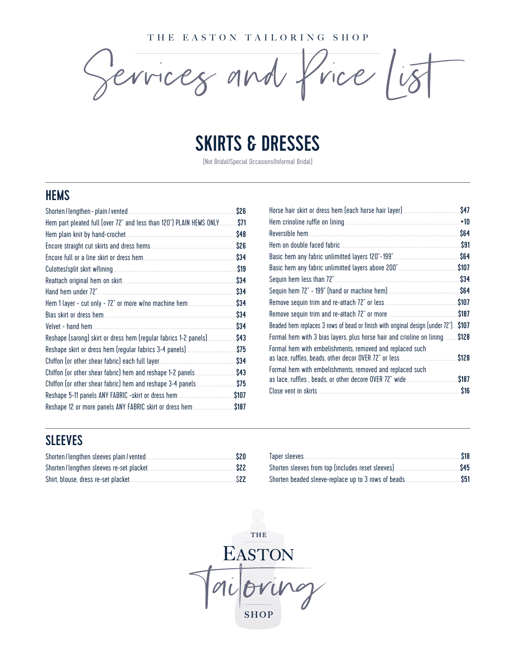THE EASTON TAILORING SHOP

 $r$ rices and frice  $is$ 

## SKIRTS & DRESSES

(Not Bridal/Special Occasions/Informal Bridal)

#### **HEMS**

| Shorten / lengthen - plain / vented                                 | \$26        |
|---------------------------------------------------------------------|-------------|
| Hem part pleated full (over 72" and less than 120") PLAIN HEMS ONLY | \$71        |
|                                                                     | \$48        |
|                                                                     | \$26        |
|                                                                     | \$34        |
|                                                                     | \$19        |
|                                                                     | \$34        |
| Hand hem under 72"                                                  | \$34        |
|                                                                     | \$34        |
|                                                                     | \$34        |
| Velvet - hand hem.                                                  | \$34        |
| Reshape (sarong) skirt or dress hem (regular fabrics 1-2 panels)    | \$43        |
|                                                                     | \$75        |
|                                                                     | \$34        |
| Chiffon (or other shear fabric) hem and reshape 1-2 panels          | \$43        |
|                                                                     | \$75        |
|                                                                     | <b>S107</b> |
|                                                                     | \$187       |
|                                                                     |             |

|                                                                                | \$47  |
|--------------------------------------------------------------------------------|-------|
|                                                                                | $+10$ |
| Reversible hem                                                                 | \$64  |
| Hem on double faced fabric                                                     | \$91  |
|                                                                                | \$64  |
|                                                                                | \$107 |
|                                                                                | \$34  |
|                                                                                | \$64  |
|                                                                                | \$107 |
|                                                                                | \$187 |
| Beaded hem replaces 3 rows of bead or finish with original design (under 72"). | \$107 |
| Formal hem with 3 bias layers, plus horse hair and crioline on lining          | \$128 |
| Formal hem with embelishments, removed and replaced such                       |       |
|                                                                                | \$128 |
| Formal hem with embelishments, removed and replaced such                       |       |
|                                                                                | \$187 |
| Close vent in skirts                                                           | \$16  |

#### SLEEVES

| Shorten/lengthen sleeves plain/vented.   | \$20 |
|------------------------------------------|------|
| Shorten/lengthen sleeves re-set placket. | \$22 |
| Shirt, blouse, dress re-set placket.     | \$22 |

| Taper sleeves                                        | \$18 |
|------------------------------------------------------|------|
| Shorten sleeves from top (includes reset sleeves).   | \$45 |
| Shorten beaded sleeve-replace up to 3 rows of beads. | \$51 |

THE **EASTON SHOP**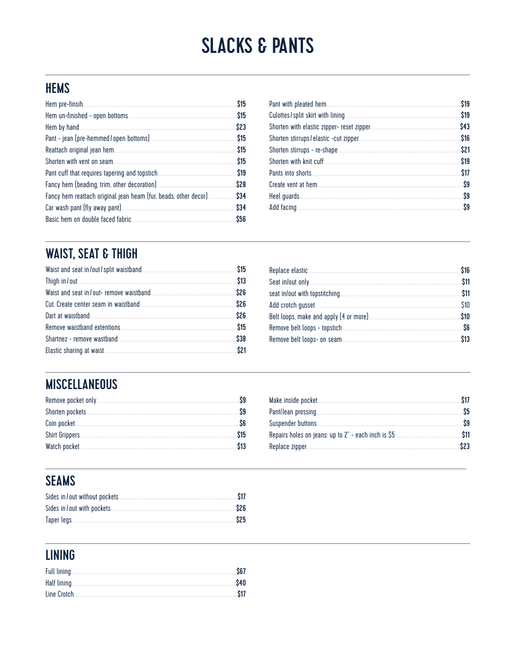## **SLACKS & PANTS**

#### **HEMS**

|                                                                                                                                                                                                                                      | \$15 |
|--------------------------------------------------------------------------------------------------------------------------------------------------------------------------------------------------------------------------------------|------|
|                                                                                                                                                                                                                                      |      |
| Hem by hand <b>contract the contract of the contract of the contract of the contract of the contract of the contract of the contract of the contract of the contract of the contract of the contract of the contract of the cont</b> | \$23 |
|                                                                                                                                                                                                                                      |      |
|                                                                                                                                                                                                                                      |      |
|                                                                                                                                                                                                                                      | \$15 |
|                                                                                                                                                                                                                                      |      |
|                                                                                                                                                                                                                                      | \$28 |
|                                                                                                                                                                                                                                      |      |
|                                                                                                                                                                                                                                      | \$34 |
| Basic hem on double faced fabric <b>Executive SES</b>                                                                                                                                                                                |      |

| \$19 |
|------|
| \$43 |
| \$16 |
| \$21 |
| \$19 |
| \$17 |
| \$9  |
| \$9  |
| S9   |

### **WAIST, SEAT & THIGH**

|                                        | \$13 |
|----------------------------------------|------|
| Waist and seat in/out-remove waistband | \$26 |
|                                        | \$26 |
| Dart at waistband                      | \$26 |
|                                        |      |
| Shartnez - remove wastband             | \$38 |
|                                        |      |

| \$11 |
|------|
|      |
| \$1N |
| \$10 |
|      |
|      |

#### **MISCELLANEOUS**

| Remove pocket only |      |
|--------------------|------|
|                    |      |
|                    |      |
| Shirt Grippers     | \$15 |
| Watch pocket       |      |

| Make inside pocket                                  |  |
|-----------------------------------------------------|--|
| Pant/Jean pressing.                                 |  |
|                                                     |  |
| Repairs holes on jeans: up to 2" - each inch is \$5 |  |
| Replace zipper.                                     |  |

#### **SEAMS**

| Sides in/out without pockets | \$17       |
|------------------------------|------------|
| Sides in / out with pockets. | <b>S26</b> |
| Taper legs                   | \$25       |

#### **LINING**

| Full lining. | <b>S67</b> |
|--------------|------------|
| Half lining  | \$40       |
| Line Crotch  | <b>S17</b> |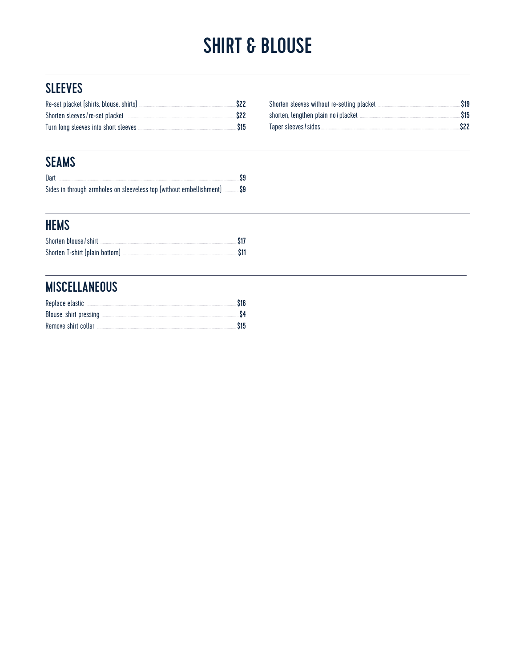# **SHIRT & BLOUSE**

#### **SLEEVES**

| Re-set placket (shirts, blouse, shirts) | <b>S22</b> |
|-----------------------------------------|------------|
| Shorten sleeves / re-set placket        | S22        |
| Turn long sleeves into short sleeves    | \$15       |

| Shorten sleeves without re-setting placket | \$19 |
|--------------------------------------------|------|
| shorten, lengthen plain no / placket       | \$15 |
| Taper sleeves / sides                      | \$22 |

#### **SEAMS**

| Dart                                                                    |  |
|-------------------------------------------------------------------------|--|
| Sides in through armholes on sleeveless top (without embellishment) \$9 |  |

#### **HEMS**

| Shorten blouse / shirt         | <b>S17</b> |
|--------------------------------|------------|
| Shorten T-shirt (plain bottom) | <b>S11</b> |

#### **MISCELLANEOUS**

|                     | \$16 |
|---------------------|------|
|                     |      |
| Remove shirt collar | \$15 |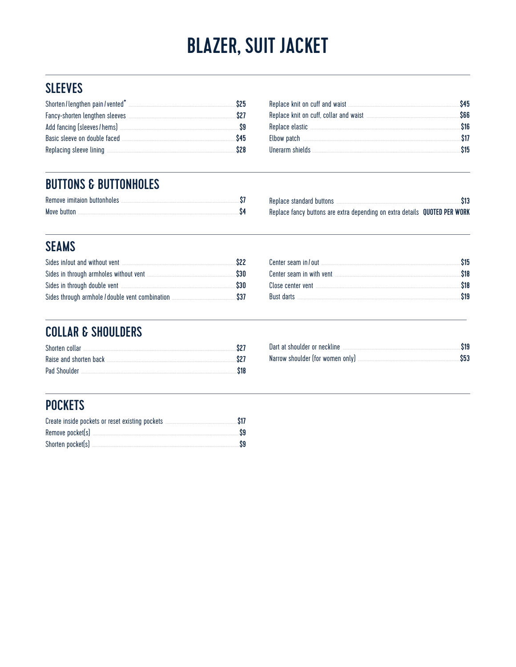# **BLAZER, SUIT JACKET**

#### **SLEEVES**

| Shorten/lengthen pain/vented*  | S25 |
|--------------------------------|-----|
| Fancy-shorten lengthen sleeves | S27 |
| Add fancing (sleeves/hems)     |     |
| Basic sleeve on double faced   | S45 |
| Replacing sleeve lining        | S28 |

| \$45 |
|------|
| 366  |
| \$16 |
| \$17 |
| \$15 |
|      |

#### **BUTTONS & BUTTONHOLES**

| Remove imitaion buttonholes |  |
|-----------------------------|--|
| Move button                 |  |

| Replace standard buttons                                                   | \$13 |
|----------------------------------------------------------------------------|------|
| Replace fancy buttons are extra depending on extra details QUOTED PER WORK |      |

#### **SEAMS**

| Sides in/out and without vent                                                                                                                                                                                                      | \$22 |
|------------------------------------------------------------------------------------------------------------------------------------------------------------------------------------------------------------------------------------|------|
|                                                                                                                                                                                                                                    | \$30 |
| Sides in through double vent <b>contract of the contract of the system</b> state of the state of the state of the state of the state of the state of the state of the state of the state of the state of the state of the state of | \$30 |
|                                                                                                                                                                                                                                    | \$37 |

| <b>S18</b> |
|------------|
|            |
|            |
|            |

#### **COLLAR & SHOULDERS**

| Shorten collar <b>Election Collar</b> 2014 | S2 I |
|--------------------------------------------|------|
| Raise and shorten back                     | S27  |
| Pad Shoulder                               | \$18 |

| Dart at shoulder or neckline     | \$19 |
|----------------------------------|------|
| Narrow shoulder (for women only) | \$53 |

#### **POCKETS**

| Create inside pockets or reset existing pockets | \$17 |
|-------------------------------------------------|------|
| Remove pocket(s)                                | S9   |
| Shorten pocket(s)                               | S9   |